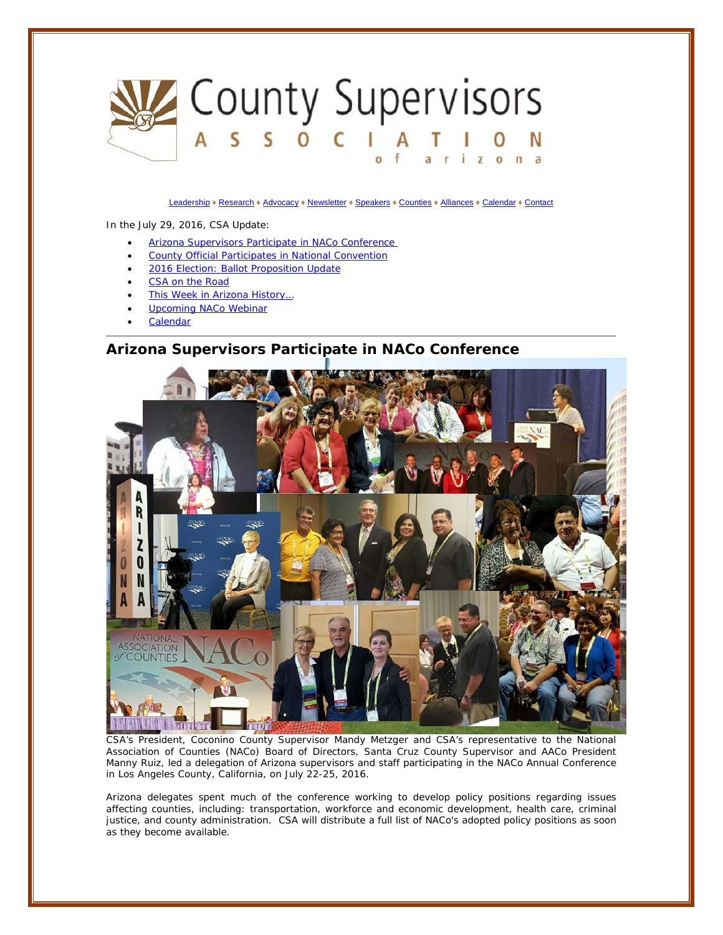

[Leadership](http://www.countysupervisors.org/leadership/) ♦ [Research](http://www.countysupervisors.org/research/) ♦ [Advocacy](http://www.countysupervisors.org/advocacy/) ♦ [Newsletter](http://www.countysupervisors.org/newsletter/) ♦ [Speakers](http://www.countysupervisors.org/speakers/) ♦ [Counties](http://www.countysupervisors.org/counties/) ♦ [Alliances](http://www.countysupervisors.org/partners/) ♦ [Calendar](http://www.countysupervisors.org/calendar/) ♦ [Contact](http://www.countysupervisors.org/contact/)

<span id="page-0-0"></span>In the July 29, 2016, CSA Update[:](#page-3-0)

- [Arizona Supervisors Participate in NACo Conference](#page-0-0)
- County Official Participates in National Convention
- 2016 Election: Ballot Proposition Update
- CSA on the Road
- This Week in Arizona History...
- Upcoming NACo Webinar
- **[Calendar](#page-3-1)**

### **Arizona Supervisors Participate in NACo Conference**



CSA's President, Coconino County Supervisor Mandy Metzger and CSA's representative to the National Association of Counties (NACo) Board of Directors, Santa Cruz County Supervisor and AACo President Manny Ruiz, led a delegation of Arizona supervisors and staff participating in the NACo Annual Conference in Los Angeles County, California, on July 22-25, 2016.

Arizona delegates spent much of the conference working to develop policy positions regarding issues affecting counties, including: transportation, workforce and economic development, health care, criminal justice, and county administration. CSA will distribute a full list of NACo's adopted policy positions as soon as they become available.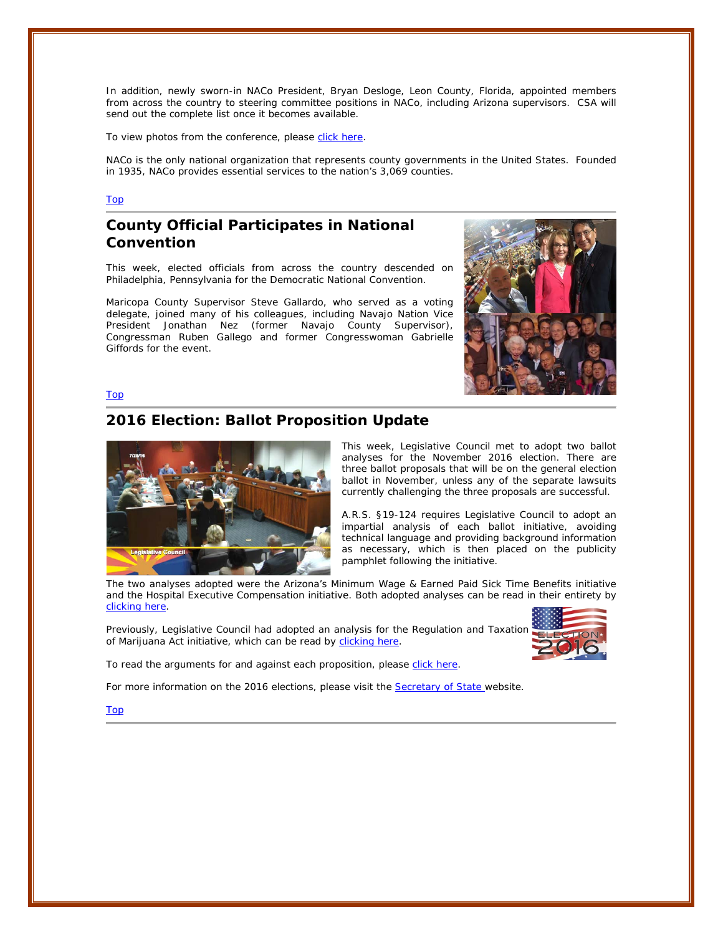In addition, newly sworn-in NACo President, Bryan Desloge, Leon County, Florida, appointed members from across the country to steering committee positions in NACo, including Arizona supervisors. CSA will send out the complete list once it becomes available.

To view photos from the conference, please [click here.](http://www.naco.org/blog/week-photos-july-30-2016)

NACo is the only national organization that represents county governments in the United States. Founded in 1935, NACo provides essential services to the nation's 3,069 counties.

#### Top

# **County Official Participates in National Convention**

This week, elected officials from across the country descended on Philadelphia, Pennsylvania for the Democratic National Convention.

Maricopa County Supervisor Steve Gallardo, who served as a voting delegate, joined many of his colleagues, including Navajo Nation Vice President Jonathan Nez (former Navajo County Supervisor), Congressman Ruben Gallego and former Congresswoman Gabrielle Giffords for the event.



Top

### **2016 Election: Ballot Proposition Update**



This week, Legislative Council met to adopt two ballot analyses for the November 2016 election. There are three ballot proposals that will be on the general election ballot in November, unless any of the separate lawsuits currently challenging the three proposals are successful.

A.R.S. §19-124 requires Legislative Council to adopt an impartial analysis of each ballot initiative, avoiding technical language and providing background information as necessary, which is then placed on the publicity pamphlet following the initiative.

The two analyses adopted were the Arizona's Minimum Wage & Earned Paid Sick Time Benefits initiative and the Hospital Executive Compensation initiative. Both adopted analyses can be read in their entirety by [clicking here.](http://azleg.gov/BallotMeasureAnalyses.asp)

Previously, Legislative Council had adopted an analysis for the Regulation and Taxation of Marijuana Act initiative, which can be read by [clicking here.](http://azleg.gov/alispdfs/Council/2016BallotMeasures/adopted_analysis_I-08-2016.pdf)



To read the arguments for and against each proposition, please [click here.](http://apps.azsos.gov/election/2016/BallotMeasure/BallotMeasureList.htm)

For more information on the 2016 elections, please visit the **Secretary of State** website.

Top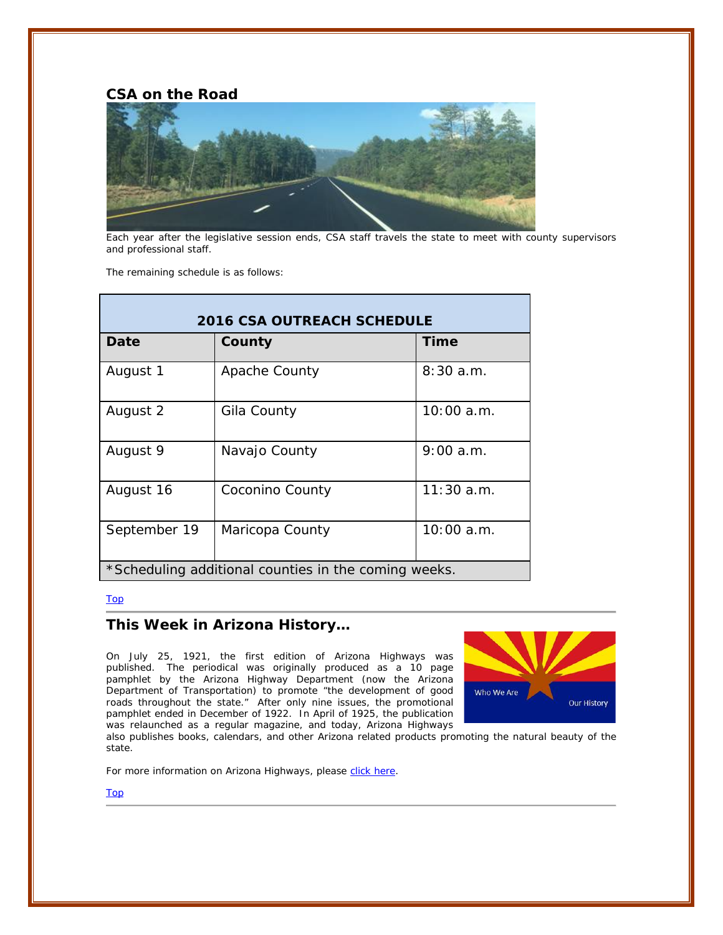**CSA on the Road**



Each year after the legislative session ends, CSA staff travels the state to meet with county supervisors and professional staff.

The remaining schedule is as follows:

| <b>2016 CSA OUTREACH SCHEDULE</b>                    |                 |              |
|------------------------------------------------------|-----------------|--------------|
| Date                                                 | County          | Time         |
| August 1                                             | Apache County   | 8:30a.m.     |
| August 2                                             | Gila County     | 10:00a.m.    |
| August 9                                             | Navajo County   | 9:00a.m.     |
| August 16                                            | Coconino County | $11:30$ a.m. |
| September 19                                         | Maricopa County | 10:00a.m.    |
| *Scheduling additional counties in the coming weeks. |                 |              |

### Top

## **This Week in Arizona History…**

On July 25, 1921, the first edition of Arizona Highways was published. The periodical was originally produced as a 10 page pamphlet by the Arizona Highway Department (now the Arizona Department of Transportation) to promote "the development of good roads throughout the state." After only nine issues, the promotional pamphlet ended in December of 1922. In April of 1925, the publication was relaunched as a regular magazine, and today, Arizona Highways



also publishes books, calendars, and other Arizona related products promoting the natural beauty of the state.

For more information on Arizona Highways, please [click here.](https://www.arizonahighways.com/)

Top